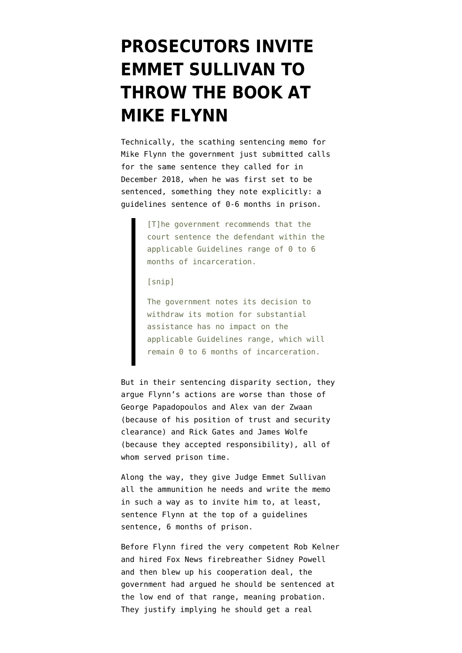# **[PROSECUTORS INVITE](https://www.emptywheel.net/2020/01/07/prosecutors-invite-emmet-sullivan-to-throw-the-book-at-mike-flynn/) [EMMET SULLIVAN TO](https://www.emptywheel.net/2020/01/07/prosecutors-invite-emmet-sullivan-to-throw-the-book-at-mike-flynn/) [THROW THE BOOK AT](https://www.emptywheel.net/2020/01/07/prosecutors-invite-emmet-sullivan-to-throw-the-book-at-mike-flynn/) [MIKE FLYNN](https://www.emptywheel.net/2020/01/07/prosecutors-invite-emmet-sullivan-to-throw-the-book-at-mike-flynn/)**

Technically, the [scathing sentencing memo](https://www.courtlistener.com/recap/gov.uscourts.dcd.191592/gov.uscourts.dcd.191592.150.0.pdf) for Mike Flynn the government just submitted calls for the same sentence [they called for in](https://www.courtlistener.com/recap/gov.uscourts.dcd.191592/gov.uscourts.dcd.191592.46.0_2.pdf) [December 2018](https://www.courtlistener.com/recap/gov.uscourts.dcd.191592/gov.uscourts.dcd.191592.46.0_2.pdf), when he was first set to be sentenced, something they note explicitly: a guidelines sentence of 0-6 months in prison.

> [T]he government recommends that the court sentence the defendant within the applicable Guidelines range of 0 to 6 months of incarceration.

[snip]

The government notes its decision to withdraw its motion for substantial assistance has no impact on the applicable Guidelines range, which will remain 0 to 6 months of incarceration.

But in their sentencing disparity section, they argue Flynn's actions are worse than those of George Papadopoulos and Alex van der Zwaan (because of his position of trust and security clearance) and Rick Gates and [James Wolfe](https://www.emptywheel.net/2018/12/21/the-significance-of-the-james-wolfe-sentence-for-mike-flynn-leak-investigations-and-the-signal-application/) (because they accepted responsibility), all of whom served prison time.

Along the way, they give Judge Emmet Sullivan all the ammunition he needs and write the memo in such a way as to invite him to, at least, sentence Flynn at the top of a guidelines sentence, 6 months of prison.

Before Flynn fired the very competent Rob Kelner and hired Fox News firebreather Sidney Powell and then blew up his cooperation deal, the government had argued he should be sentenced at the low end of that range, meaning probation. They justify implying he should get a real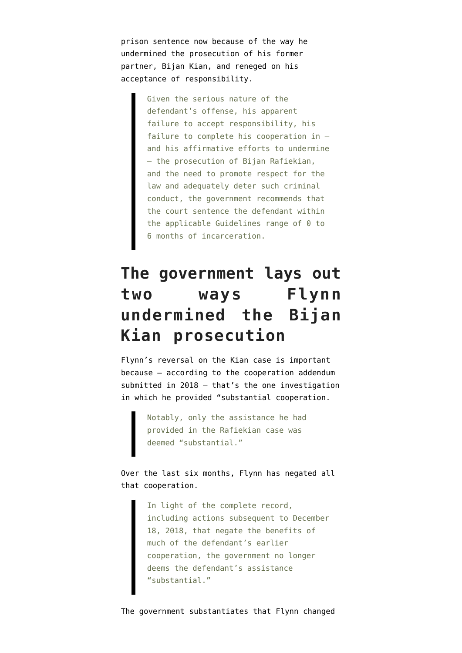prison sentence now because of the way he undermined the prosecution of his former partner, Bijan Kian, and reneged on his acceptance of responsibility.

> Given the serious nature of the defendant's offense, his apparent failure to accept responsibility, his failure to complete his cooperation in – and his affirmative efforts to undermine – the prosecution of Bijan Rafiekian, and the need to promote respect for the law and adequately deter such criminal conduct, the government recommends that the court sentence the defendant within the applicable Guidelines range of 0 to 6 months of incarceration.

## **The government lays out two ways Flynn undermined the Bijan Kian prosecution**

Flynn's reversal on the Kian case is important because — according to the [cooperation addendum](https://www.courtlistener.com/recap/gov.uscourts.dcd.191592/gov.uscourts.dcd.191592.146.0_3.pdf) [submitted in 2018](https://www.courtlistener.com/recap/gov.uscourts.dcd.191592/gov.uscourts.dcd.191592.146.0_3.pdf) — that's the one investigation in which he provided "substantial cooperation.

> Notably, only the assistance he had provided in the Rafiekian case was deemed "substantial."

Over the last six months, Flynn has negated all that cooperation.

> In light of the complete record, including actions subsequent to December 18, 2018, that negate the benefits of much of the defendant's earlier cooperation, the government no longer deems the defendant's assistance "substantial."

The government substantiates that Flynn changed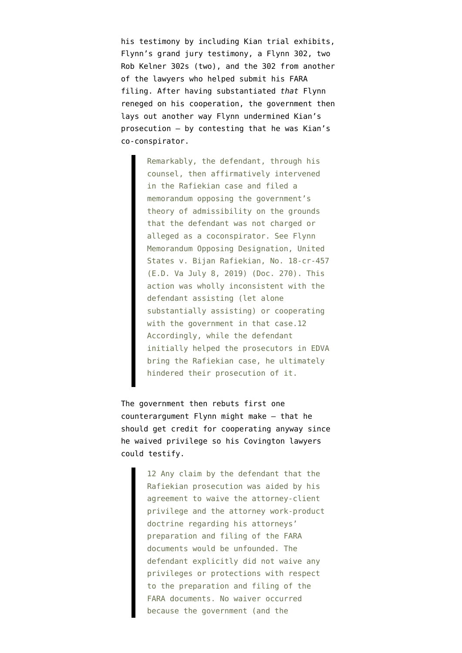his testimony by including [Kian trial exhibits,](https://www.courtlistener.com/recap/gov.uscourts.dcd.191592/gov.uscourts.dcd.191592.150.1.pdf) [Flynn's grand jury testimony](https://www.courtlistener.com/recap/gov.uscourts.dcd.191592/gov.uscourts.dcd.191592.150.2.pdf), [a Flynn 302,](https://www.courtlistener.com/recap/gov.uscourts.dcd.191592/gov.uscourts.dcd.191592.150.3.pdf) [two](https://www.courtlistener.com/recap/gov.uscourts.dcd.191592/gov.uscourts.dcd.191592.150.4.pdf) [Rob Kelner 302s](https://www.courtlistener.com/recap/gov.uscourts.dcd.191592/gov.uscourts.dcd.191592.150.4.pdf) ([two](https://www.courtlistener.com/recap/gov.uscourts.dcd.191592/gov.uscourts.dcd.191592.150.6.pdf)), and the [302 from another](https://www.courtlistener.com/recap/gov.uscourts.dcd.191592/gov.uscourts.dcd.191592.150.5.pdf) [of the lawyers](https://www.courtlistener.com/recap/gov.uscourts.dcd.191592/gov.uscourts.dcd.191592.150.5.pdf) who helped submit his FARA filing. After having substantiated *that* Flynn reneged on his cooperation, the government then lays out another way Flynn undermined Kian's prosecution — by contesting that he was Kian's co-conspirator.

> Remarkably, the defendant, through his counsel, then affirmatively intervened in the Rafiekian case and filed a memorandum opposing the government's theory of admissibility on the grounds that the defendant was not charged or alleged as a coconspirator. See Flynn Memorandum Opposing Designation, United States v. Bijan Rafiekian, No. 18-cr-457 (E.D. Va July 8, 2019) (Doc. 270). This action was wholly inconsistent with the defendant assisting (let alone substantially assisting) or cooperating with the government in that case.12 Accordingly, while the defendant initially helped the prosecutors in EDVA bring the Rafiekian case, he ultimately hindered their prosecution of it.

The government then rebuts first one counterargument Flynn might make — that he should get credit for cooperating anyway since he waived privilege so his Covington lawyers could testify.

> 12 Any claim by the defendant that the Rafiekian prosecution was aided by his agreement to waive the attorney-client privilege and the attorney work-product doctrine regarding his attorneys' preparation and filing of the FARA documents would be unfounded. The defendant explicitly did not waive any privileges or protections with respect to the preparation and filing of the FARA documents. No waiver occurred because the government (and the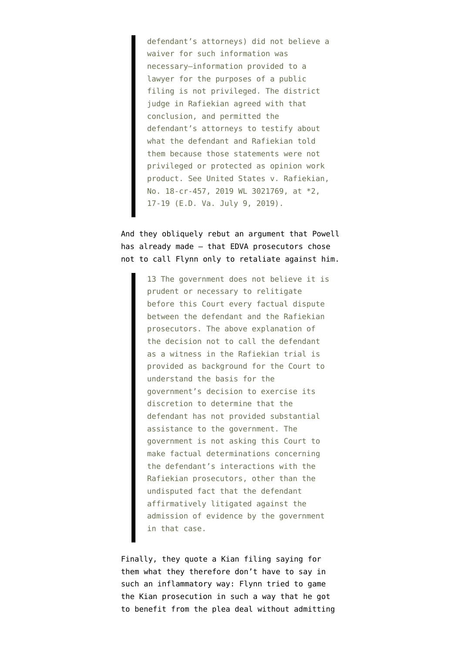defendant's attorneys) did not believe a waiver for such information was necessary—information provided to a lawyer for the purposes of a public filing is not privileged. The district judge in Rafiekian agreed with that conclusion, and permitted the defendant's attorneys to testify about what the defendant and Rafiekian told them because those statements were not privileged or protected as opinion work product. See United States v. Rafiekian, No. 18-cr-457, 2019 WL 3021769, at \*2, 17-19 (E.D. Va. July 9, 2019).

And they obliquely rebut an argument that Powell has already made — that EDVA prosecutors chose not to call Flynn only to retaliate against him.

> 13 The government does not believe it is prudent or necessary to relitigate before this Court every factual dispute between the defendant and the Rafiekian prosecutors. The above explanation of the decision not to call the defendant as a witness in the Rafiekian trial is provided as background for the Court to understand the basis for the government's decision to exercise its discretion to determine that the defendant has not provided substantial assistance to the government. The government is not asking this Court to make factual determinations concerning the defendant's interactions with the Rafiekian prosecutors, other than the undisputed fact that the defendant affirmatively litigated against the admission of evidence by the government in that case.

Finally, they quote a [Kian filing](https://www.courtlistener.com/recap/gov.uscourts.vaed.400989/gov.uscourts.vaed.400989.262.0.pdf) saying for them what they therefore don't have to say in such an inflammatory way: Flynn tried to game the Kian prosecution in such a way that he got to benefit from the plea deal without admitting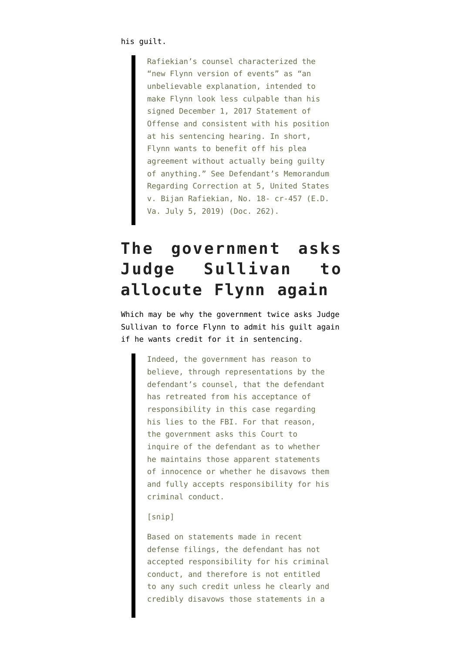Rafiekian's counsel characterized the "new Flynn version of events" as "an unbelievable explanation, intended to make Flynn look less culpable than his signed December 1, 2017 Statement of Offense and consistent with his position at his sentencing hearing. In short, Flynn wants to benefit off his plea agreement without actually being guilty of anything." See Defendant's Memorandum Regarding Correction at 5, United States v. Bijan Rafiekian, No. 18- cr-457 (E.D. Va. July 5, 2019) (Doc. 262).

### **The government asks Judge Sullivan to allocute Flynn again**

Which may be why the government twice asks Judge Sullivan to force Flynn to admit his guilt again if he wants credit for it in sentencing.

> Indeed, the government has reason to believe, through representations by the defendant's counsel, that the defendant has retreated from his acceptance of responsibility in this case regarding his lies to the FBI. For that reason, the government asks this Court to inquire of the defendant as to whether he maintains those apparent statements of innocence or whether he disavows them and fully accepts responsibility for his criminal conduct.

#### [snip]

Based on statements made in recent defense filings, the defendant has not accepted responsibility for his criminal conduct, and therefore is not entitled to any such credit unless he clearly and credibly disavows those statements in a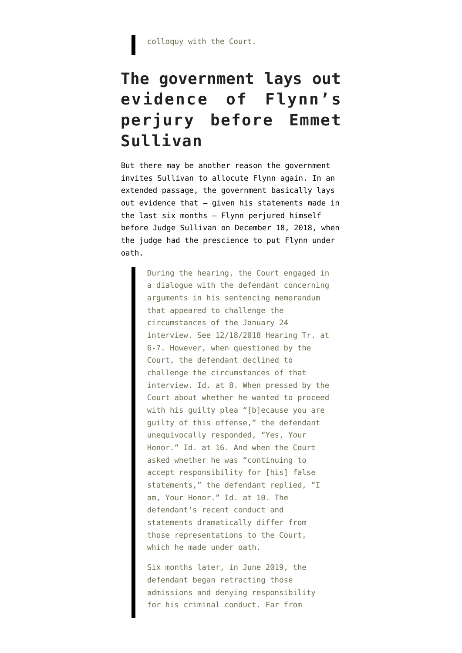colloquy with the Court.

## **The government lays out evidence of Flynn's perjury before Emmet Sullivan**

But there may be another reason the government invites Sullivan to allocute Flynn again. In an extended passage, the government basically lays out evidence that — given his statements made in the last six months — Flynn perjured himself before Judge Sullivan on December 18, 2018, when the judge [had the prescience](https://www.emptywheel.net/2018/12/18/judge-sullivan-was-prepared-for-potential-flynn-perjury-and-fraud-on-the-court/) to put Flynn under oath.

> During the hearing, the Court engaged in a dialogue with the defendant concerning arguments in his sentencing memorandum that appeared to challenge the circumstances of the January 24 interview. See 12/18/2018 Hearing Tr. at 6-7. However, when questioned by the Court, the defendant declined to challenge the circumstances of that interview. Id. at 8. When pressed by the Court about whether he wanted to proceed with his guilty plea "[b]ecause you are guilty of this offense," the defendant unequivocally responded, "Yes, Your Honor." Id. at 16. And when the Court asked whether he was "continuing to accept responsibility for [his] false statements," the defendant replied, "I am, Your Honor." Id. at 10. The defendant's recent conduct and statements dramatically differ from those representations to the Court, which he made under oath.

Six months later, in June 2019, the defendant began retracting those admissions and denying responsibility for his criminal conduct. Far from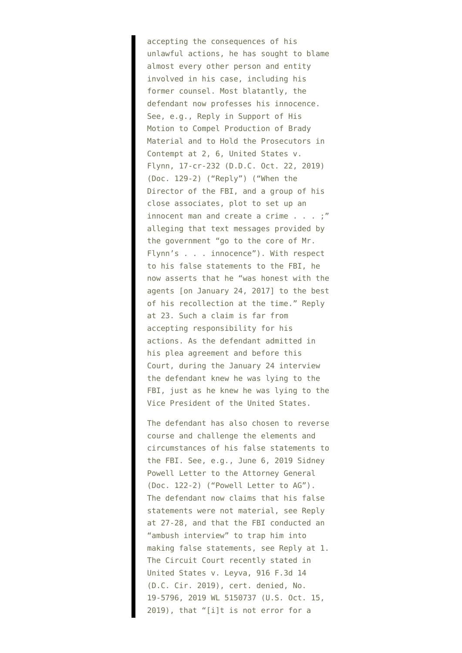accepting the consequences of his unlawful actions, he has sought to blame almost every other person and entity involved in his case, including his former counsel. Most blatantly, the defendant now professes his innocence. See, e.g., Reply in Support of His Motion to Compel Production of Brady Material and to Hold the Prosecutors in Contempt at 2, 6, United States v. Flynn, 17-cr-232 (D.D.C. Oct. 22, 2019) (Doc. 129-2) ("Reply") ("When the Director of the FBI, and a group of his close associates, plot to set up an innocent man and create a crime . . . ;" alleging that text messages provided by the government "go to the core of Mr. Flynn's . . . innocence"). With respect to his false statements to the FBI, he now asserts that he "was honest with the agents [on January 24, 2017] to the best of his recollection at the time." Reply at 23. Such a claim is far from accepting responsibility for his actions. As the defendant admitted in his plea agreement and before this Court, during the January 24 interview the defendant knew he was lying to the FBI, just as he knew he was lying to the Vice President of the United States.

The defendant has also chosen to reverse course and challenge the elements and circumstances of his false statements to the FBI. See, e.g., June 6, 2019 Sidney Powell Letter to the Attorney General (Doc. 122-2) ("Powell Letter to AG"). The defendant now claims that his false statements were not material, see Reply at 27-28, and that the FBI conducted an "ambush interview" to trap him into making false statements, see Reply at 1. The Circuit Court recently stated in United States v. Leyva, 916 F.3d 14 (D.C. Cir. 2019), cert. denied, No. 19-5796, 2019 WL 5150737 (U.S. Oct. 15, 2019), that "[i]t is not error for a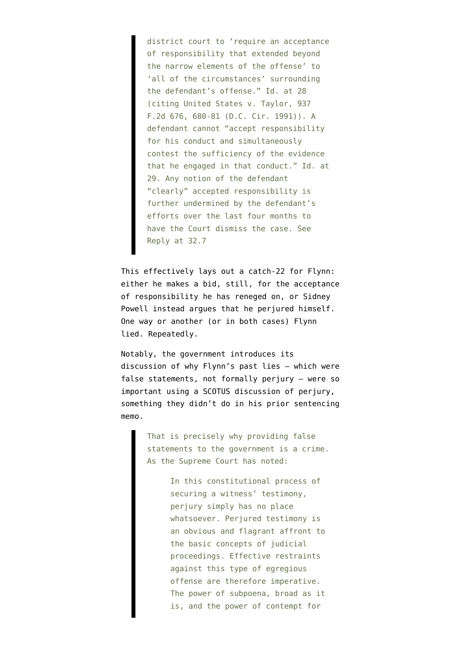district court to 'require an acceptance of responsibility that extended beyond the narrow elements of the offense' to 'all of the circumstances' surrounding the defendant's offense." Id. at 28 (citing United States v. Taylor, 937 F.2d 676, 680-81 (D.C. Cir. 1991)). A defendant cannot "accept responsibility for his conduct and simultaneously contest the sufficiency of the evidence that he engaged in that conduct." Id. at 29. Any notion of the defendant "clearly" accepted responsibility is further undermined by the defendant's efforts over the last four months to have the Court dismiss the case. See Reply at 32.7

This effectively lays out a catch-22 for Flynn: either he makes a bid, still, for the acceptance of responsibility he has reneged on, or Sidney Powell instead argues that he perjured himself. One way or another (or in both cases) Flynn lied. Repeatedly.

Notably, the government introduces its discussion of why Flynn's past lies — which were false statements, not formally perjury — were so important using a SCOTUS discussion of perjury, something they didn't do in [his prior sentencing](https://www.courtlistener.com/recap/gov.uscourts.dcd.191592/gov.uscourts.dcd.191592.46.0_2.pdf) [memo](https://www.courtlistener.com/recap/gov.uscourts.dcd.191592/gov.uscourts.dcd.191592.46.0_2.pdf).

> That is precisely why providing false statements to the government is a crime. As the Supreme Court has noted:

> > In this constitutional process of securing a witness' testimony, perjury simply has no place whatsoever. Perjured testimony is an obvious and flagrant affront to the basic concepts of judicial proceedings. Effective restraints against this type of egregious offense are therefore imperative. The power of subpoena, broad as it is, and the power of contempt for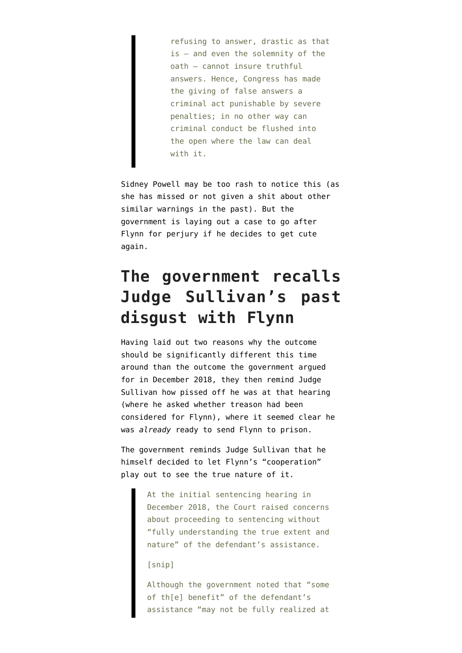refusing to answer, drastic as that is — and even the solemnity of the oath — cannot insure truthful answers. Hence, Congress has made the giving of false answers a criminal act punishable by severe penalties; in no other way can criminal conduct be flushed into the open where the law can deal with it.

Sidney Powell may be too rash to notice this (as she has missed or not given a shit about other similar warnings in the past). But the government is laying out a case to go after Flynn for perjury if he decides to get cute again.

### **The government recalls Judge Sullivan's past disgust with Flynn**

Having laid out two reasons why the outcome should be significantly different this time around than the outcome the government argued for in December 2018, they then remind Judge Sullivan how pissed off he was at that hearing (where [he asked whether treason](https://www.emptywheel.net/2018/12/19/in-defense-of-emmet-sullivan-van-grack-suggested-mueller-did-review-whether-flynns-behavior-amounted-to-treason/) had been considered for Flynn), where it seemed clear he was *already* ready to send Flynn to prison.

The government reminds Judge Sullivan that he himself decided to let Flynn's "cooperation" play out to see the true nature of it.

> At the initial sentencing hearing in December 2018, the Court raised concerns about proceeding to sentencing without "fully understanding the true extent and nature" of the defendant's assistance.

### [snip]

Although the government noted that "some of th[e] benefit" of the defendant's assistance "may not be fully realized at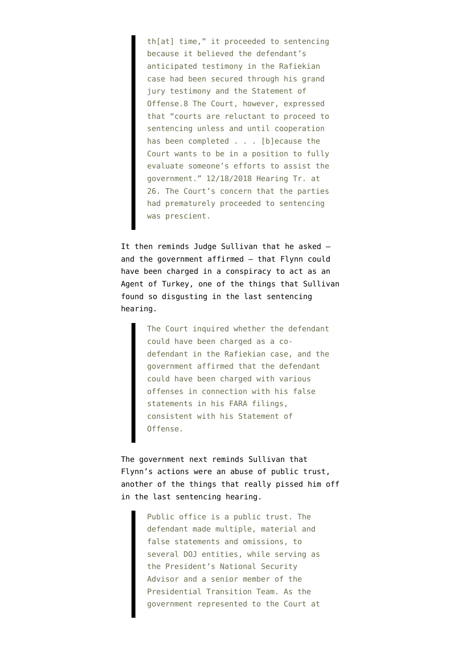th[at] time," it proceeded to sentencing because it believed the defendant's anticipated testimony in the Rafiekian case had been secured through his grand jury testimony and the Statement of Offense.8 The Court, however, expressed that "courts are reluctant to proceed to sentencing unless and until cooperation has been completed . . . [b]ecause the Court wants to be in a position to fully evaluate someone's efforts to assist the government." 12/18/2018 Hearing Tr. at 26. The Court's concern that the parties had prematurely proceeded to sentencing was prescient.

It then reminds Judge Sullivan that he asked and the government affirmed — that Flynn could have been charged in a conspiracy to act as an Agent of Turkey, one of the things that Sullivan found so disgusting in the last sentencing hearing.

> The Court inquired whether the defendant could have been charged as a codefendant in the Rafiekian case, and the government affirmed that the defendant could have been charged with various offenses in connection with his false statements in his FARA filings, consistent with his Statement of Offense.

The government next reminds Sullivan that Flynn's actions were an abuse of public trust, another of the things that really pissed him off in the last sentencing hearing.

> Public office is a public trust. The defendant made multiple, material and false statements and omissions, to several DOJ entities, while serving as the President's National Security Advisor and a senior member of the Presidential Transition Team. As the government represented to the Court at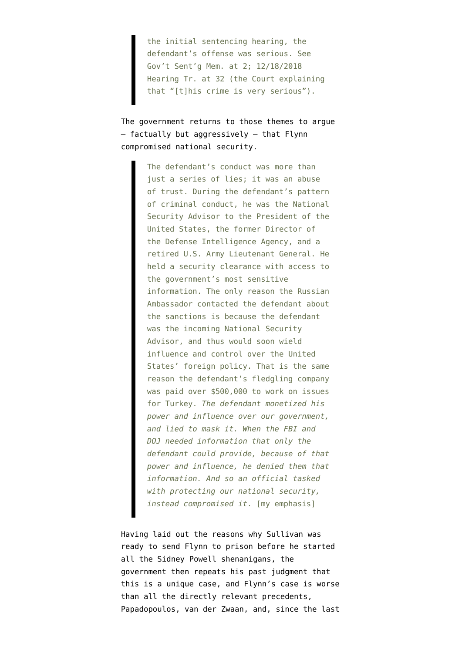the initial sentencing hearing, the defendant's offense was serious. See Gov't Sent'g Mem. at 2; 12/18/2018 Hearing Tr. at 32 (the Court explaining that "[t]his crime is very serious").

The government returns to those themes to argue — factually but aggressively — that Flynn compromised national security.

> The defendant's conduct was more than just a series of lies; it was an abuse of trust. During the defendant's pattern of criminal conduct, he was the National Security Advisor to the President of the United States, the former Director of the Defense Intelligence Agency, and a retired U.S. Army Lieutenant General. He held a security clearance with access to the government's most sensitive information. The only reason the Russian Ambassador contacted the defendant about the sanctions is because the defendant was the incoming National Security Advisor, and thus would soon wield influence and control over the United States' foreign policy. That is the same reason the defendant's fledgling company was paid over \$500,000 to work on issues for Turkey. *The defendant monetized his power and influence over our government, and lied to mask it. When the FBI and DOJ needed information that only the defendant could provide, because of that power and influence, he denied them that information. And so an official tasked with protecting our national security, instead compromised it*. [my emphasis]

Having laid out the reasons why Sullivan was ready to send Flynn to prison before he started all the Sidney Powell shenanigans, the government then repeats his past judgment that this is a unique case, and Flynn's case is worse than all the directly relevant precedents, Papadopoulos, van der Zwaan, and, since the last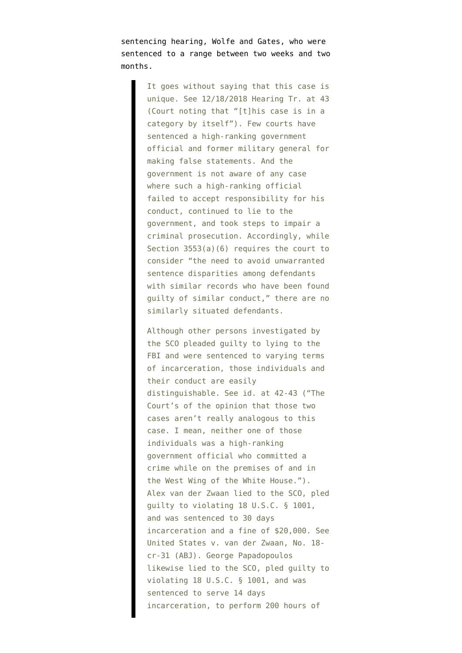sentencing hearing, Wolfe and Gates, who were sentenced to a range between two weeks and two months.

> It goes without saying that this case is unique. See 12/18/2018 Hearing Tr. at 43 (Court noting that "[t]his case is in a category by itself"). Few courts have sentenced a high-ranking government official and former military general for making false statements. And the government is not aware of any case where such a high-ranking official failed to accept responsibility for his conduct, continued to lie to the government, and took steps to impair a criminal prosecution. Accordingly, while Section 3553(a)(6) requires the court to consider "the need to avoid unwarranted sentence disparities among defendants with similar records who have been found guilty of similar conduct," there are no similarly situated defendants.

> Although other persons investigated by the SCO pleaded guilty to lying to the FBI and were sentenced to varying terms of incarceration, those individuals and their conduct are easily distinguishable. See id. at 42-43 ("The Court's of the opinion that those two cases aren't really analogous to this case. I mean, neither one of those individuals was a high-ranking government official who committed a crime while on the premises of and in the West Wing of the White House."). Alex van der Zwaan lied to the SCO, pled guilty to violating 18 U.S.C. § 1001, and was sentenced to 30 days incarceration and a fine of \$20,000. See United States v. van der Zwaan, No. 18 cr-31 (ABJ). George Papadopoulos likewise lied to the SCO, pled guilty to violating 18 U.S.C. § 1001, and was sentenced to serve 14 days incarceration, to perform 200 hours of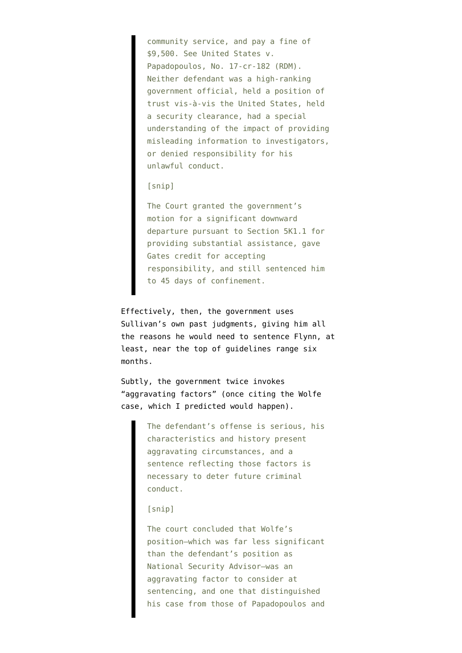community service, and pay a fine of \$9,500. See United States v. Papadopoulos, No. 17-cr-182 (RDM). Neither defendant was a high-ranking government official, held a position of trust vis-à-vis the United States, held a security clearance, had a special understanding of the impact of providing misleading information to investigators, or denied responsibility for his unlawful conduct.

#### [snip]

The Court granted the government's motion for a significant downward departure pursuant to Section 5K1.1 for providing substantial assistance, gave Gates credit for accepting responsibility, and still sentenced him to 45 days of confinement.

Effectively, then, the government uses Sullivan's own past judgments, giving him all the reasons he would need to sentence Flynn, at least, near the top of guidelines range six months.

Subtly, the government twice invokes "aggravating factors" (once citing the Wolfe case, [which I predicted would happen](https://www.emptywheel.net/2018/12/21/the-significance-of-the-james-wolfe-sentence-for-mike-flynn-leak-investigations-and-the-signal-application/)).

> The defendant's offense is serious, his characteristics and history present aggravating circumstances, and a sentence reflecting those factors is necessary to deter future criminal conduct.

#### [snip]

The court concluded that Wolfe's position—which was far less significant than the defendant's position as National Security Advisor—was an aggravating factor to consider at sentencing, and one that distinguished his case from those of Papadopoulos and